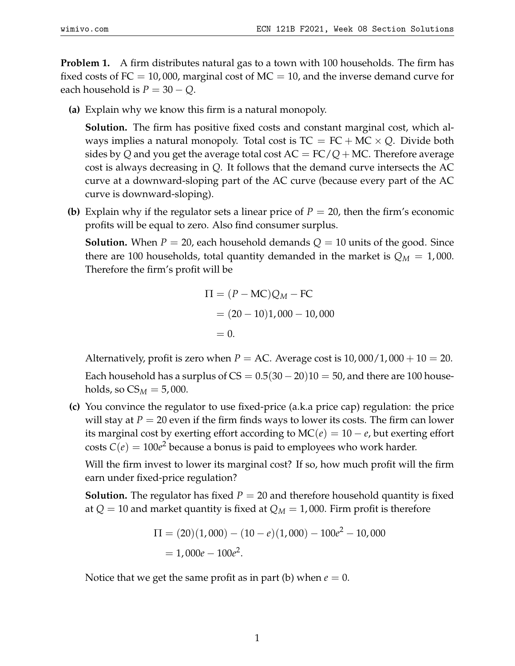**Problem 1.** A firm distributes natural gas to a town with 100 households. The firm has fixed costs of  $FC = 10,000$ , marginal cost of  $MC = 10$ , and the inverse demand curve for each household is  $P = 30 - Q$ .

**(a)** Explain why we know this firm is a natural monopoly.

**Solution.** The firm has positive fixed costs and constant marginal cost, which always implies a natural monopoly. Total cost is  $TC = FC + MC \times Q$ . Divide both sides by Q and you get the average total cost  $AC = FC/Q + MC$ . Therefore average cost is always decreasing in *Q*. It follows that the demand curve intersects the AC curve at a downward-sloping part of the AC curve (because every part of the AC curve is downward-sloping).

**(b)** Explain why if the regulator sets a linear price of  $P = 20$ , then the firm's economic profits will be equal to zero. Also find consumer surplus.

**Solution.** When  $P = 20$ , each household demands  $Q = 10$  units of the good. Since there are 100 households, total quantity demanded in the market is  $Q_M = 1,000$ . Therefore the firm's profit will be

$$
\Pi = (P - \text{MC})Q_M - \text{FC}
$$
  
= (20 - 10)1,000 - 10,000  
= 0.

Alternatively, profit is zero when  $P = AC$ . Average cost is  $10,000/1,000 + 10 = 20$ . Each household has a surplus of  $CS = 0.5(30 - 20)10 = 50$ , and there are 100 households, so  $CS_M = 5,000$ .

**(c)** You convince the regulator to use fixed-price (a.k.a price cap) regulation: the price will stay at  $P = 20$  even if the firm finds ways to lower its costs. The firm can lower its marginal cost by exerting effort according to  $MC(e) = 10 - e$ , but exerting effort costs  $C(e) = 100e^2$  because a bonus is paid to employees who work harder.

Will the firm invest to lower its marginal cost? If so, how much profit will the firm earn under fixed-price regulation?

**Solution.** The regulator has fixed  $P = 20$  and therefore household quantity is fixed at  $Q = 10$  and market quantity is fixed at  $Q_M = 1,000$ . Firm profit is therefore

$$
\Pi = (20)(1,000) - (10 - e)(1,000) - 100e^2 - 10,000
$$
  
= 1,000e - 100e<sup>2</sup>.

Notice that we get the same profit as in part (b) when  $e = 0$ .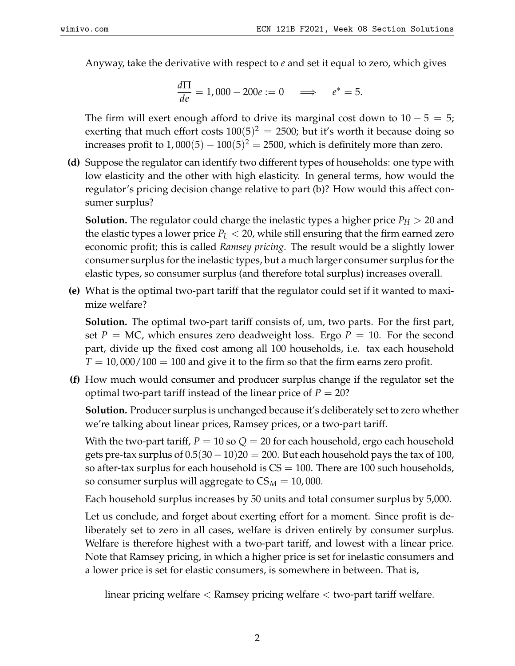Anyway, take the derivative with respect to *e* and set it equal to zero, which gives

$$
\frac{d\Pi}{de}=1,000-200e:=0\quad\Longrightarrow\quad e^*=5.
$$

The firm will exert enough afford to drive its marginal cost down to  $10 - 5 = 5$ ; exerting that much effort costs  $100(5)^2 = 2500$ ; but it's worth it because doing so increases profit to  $1,000(5)-100(5)^2=2500$ , which is definitely more than zero.

**(d)** Suppose the regulator can identify two different types of households: one type with low elasticity and the other with high elasticity. In general terms, how would the regulator's pricing decision change relative to part (b)? How would this affect consumer surplus?

**Solution.** The regulator could charge the inelastic types a higher price  $P_H > 20$  and the elastic types a lower price  $P_L < 20$ , while still ensuring that the firm earned zero economic profit; this is called *Ramsey pricing*. The result would be a slightly lower consumer surplus for the inelastic types, but a much larger consumer surplus for the elastic types, so consumer surplus (and therefore total surplus) increases overall.

**(e)** What is the optimal two-part tariff that the regulator could set if it wanted to maximize welfare?

**Solution.** The optimal two-part tariff consists of, um, two parts. For the first part, set  $P = MC$ , which ensures zero deadweight loss. Ergo  $P = 10$ . For the second part, divide up the fixed cost among all 100 households, i.e. tax each household  $T = 10,000/100 = 100$  and give it to the firm so that the firm earns zero profit.

**(f)** How much would consumer and producer surplus change if the regulator set the optimal two-part tariff instead of the linear price of  $P = 20$ ?

**Solution.** Producer surplus is unchanged because it's deliberately set to zero whether we're talking about linear prices, Ramsey prices, or a two-part tariff.

With the two-part tariff,  $P = 10$  so  $Q = 20$  for each household, ergo each household gets pre-tax surplus of  $0.5(30 - 10)20 = 200$ . But each household pays the tax of 100, so after-tax surplus for each household is  $CS = 100$ . There are 100 such households, so consumer surplus will aggregate to  $CS_M = 10,000$ .

Each household surplus increases by 50 units and total consumer surplus by 5,000.

Let us conclude, and forget about exerting effort for a moment. Since profit is deliberately set to zero in all cases, welfare is driven entirely by consumer surplus. Welfare is therefore highest with a two-part tariff, and lowest with a linear price. Note that Ramsey pricing, in which a higher price is set for inelastic consumers and a lower price is set for elastic consumers, is somewhere in between. That is,

linear pricing welfare < Ramsey pricing welfare < two-part tariff welfare.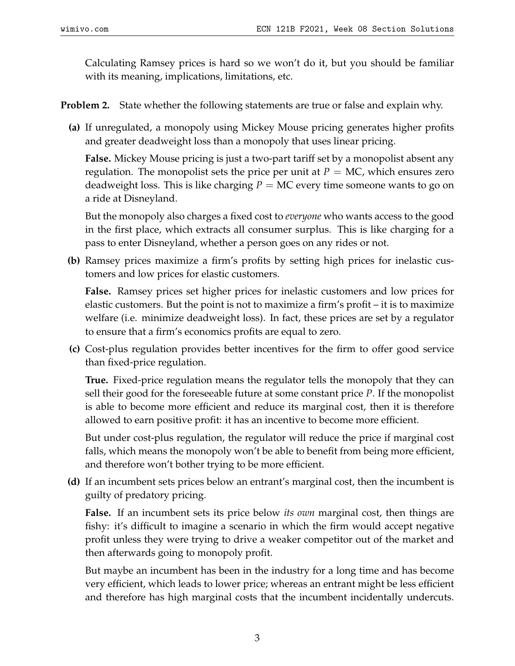Calculating Ramsey prices is hard so we won't do it, but you should be familiar with its meaning, implications, limitations, etc.

**Problem 2.** State whether the following statements are true or false and explain why.

**(a)** If unregulated, a monopoly using Mickey Mouse pricing generates higher profits and greater deadweight loss than a monopoly that uses linear pricing.

**False.** Mickey Mouse pricing is just a two-part tariff set by a monopolist absent any regulation. The monopolist sets the price per unit at  $P = MC$ , which ensures zero deadweight loss. This is like charging  $P = MC$  every time someone wants to go on a ride at Disneyland.

But the monopoly also charges a fixed cost to *everyone* who wants access to the good in the first place, which extracts all consumer surplus. This is like charging for a pass to enter Disneyland, whether a person goes on any rides or not.

**(b)** Ramsey prices maximize a firm's profits by setting high prices for inelastic customers and low prices for elastic customers.

**False.** Ramsey prices set higher prices for inelastic customers and low prices for elastic customers. But the point is not to maximize a firm's profit – it is to maximize welfare (i.e. minimize deadweight loss). In fact, these prices are set by a regulator to ensure that a firm's economics profits are equal to zero.

**(c)** Cost-plus regulation provides better incentives for the firm to offer good service than fixed-price regulation.

**True.** Fixed-price regulation means the regulator tells the monopoly that they can sell their good for the foreseeable future at some constant price *P*. If the monopolist is able to become more efficient and reduce its marginal cost, then it is therefore allowed to earn positive profit: it has an incentive to become more efficient.

But under cost-plus regulation, the regulator will reduce the price if marginal cost falls, which means the monopoly won't be able to benefit from being more efficient, and therefore won't bother trying to be more efficient.

**(d)** If an incumbent sets prices below an entrant's marginal cost, then the incumbent is guilty of predatory pricing.

**False.** If an incumbent sets its price below *its own* marginal cost, then things are fishy: it's difficult to imagine a scenario in which the firm would accept negative profit unless they were trying to drive a weaker competitor out of the market and then afterwards going to monopoly profit.

But maybe an incumbent has been in the industry for a long time and has become very efficient, which leads to lower price; whereas an entrant might be less efficient and therefore has high marginal costs that the incumbent incidentally undercuts.